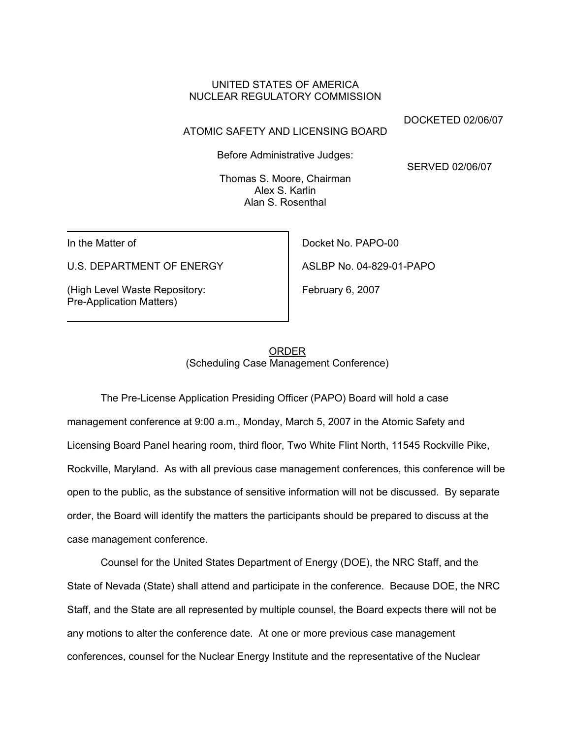## UNITED STATES OF AMERICA NUCLEAR REGULATORY COMMISSION

DOCKETED 02/06/07

### ATOMIC SAFETY AND LICENSING BOARD

Before Administrative Judges:

SERVED 02/06/07

Thomas S. Moore, Chairman Alex S. Karlin Alan S. Rosenthal

In the Matter of

U.S. DEPARTMENT OF ENERGY

(High Level Waste Repository: Pre-Application Matters)

Docket No. PAPO-00 ASLBP No. 04-829-01-PAPO

February 6, 2007

# ORDER (Scheduling Case Management Conference)

The Pre-License Application Presiding Officer (PAPO) Board will hold a case management conference at 9:00 a.m., Monday, March 5, 2007 in the Atomic Safety and Licensing Board Panel hearing room, third floor, Two White Flint North, 11545 Rockville Pike, Rockville, Maryland. As with all previous case management conferences, this conference will be open to the public, as the substance of sensitive information will not be discussed. By separate order, the Board will identify the matters the participants should be prepared to discuss at the case management conference.

Counsel for the United States Department of Energy (DOE), the NRC Staff, and the State of Nevada (State) shall attend and participate in the conference. Because DOE, the NRC Staff, and the State are all represented by multiple counsel, the Board expects there will not be any motions to alter the conference date. At one or more previous case management conferences, counsel for the Nuclear Energy Institute and the representative of the Nuclear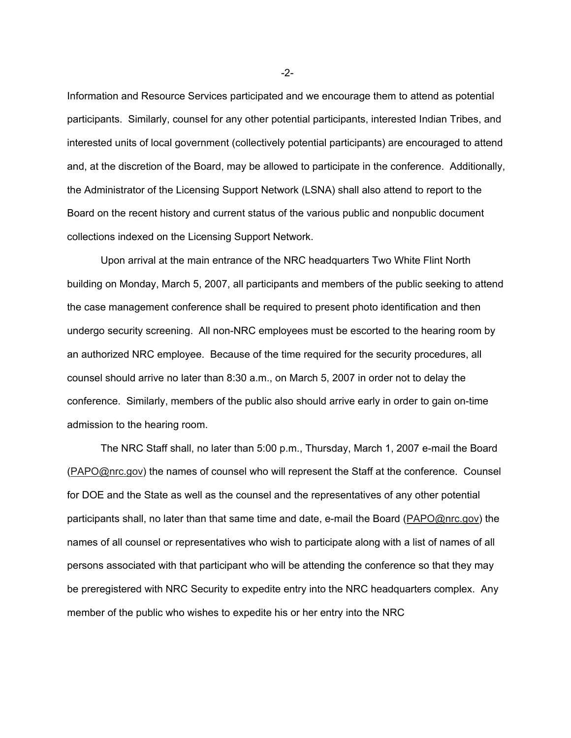Information and Resource Services participated and we encourage them to attend as potential participants. Similarly, counsel for any other potential participants, interested Indian Tribes, and interested units of local government (collectively potential participants) are encouraged to attend and, at the discretion of the Board, may be allowed to participate in the conference. Additionally, the Administrator of the Licensing Support Network (LSNA) shall also attend to report to the Board on the recent history and current status of the various public and nonpublic document collections indexed on the Licensing Support Network.

Upon arrival at the main entrance of the NRC headquarters Two White Flint North building on Monday, March 5, 2007, all participants and members of the public seeking to attend the case management conference shall be required to present photo identification and then undergo security screening. All non-NRC employees must be escorted to the hearing room by an authorized NRC employee. Because of the time required for the security procedures, all counsel should arrive no later than 8:30 a.m., on March 5, 2007 in order not to delay the conference. Similarly, members of the public also should arrive early in order to gain on-time admission to the hearing room.

The NRC Staff shall, no later than 5:00 p.m., Thursday, March 1, 2007 e-mail the Board (PAPO@nrc.gov) the names of counsel who will represent the Staff at the conference. Counsel for DOE and the State as well as the counsel and the representatives of any other potential participants shall, no later than that same time and date, e-mail the Board (PAPO@nrc.gov) the names of all counsel or representatives who wish to participate along with a list of names of all persons associated with that participant who will be attending the conference so that they may be preregistered with NRC Security to expedite entry into the NRC headquarters complex. Any member of the public who wishes to expedite his or her entry into the NRC

-2-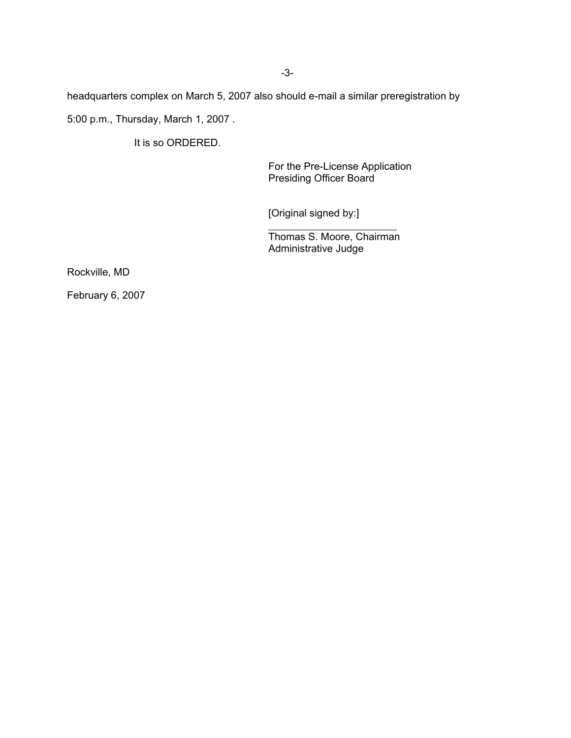headquarters complex on March 5, 2007 also should e-mail a similar preregistration by 5:00 p.m., Thursday, March 1, 2007 .

 $\overline{a}$ 

It is so ORDERED.

For the Pre-License Application Presiding Officer Board

[Original signed by:]

Thomas S. Moore, Chairman Administrative Judge

Rockville, MD

February 6, 2007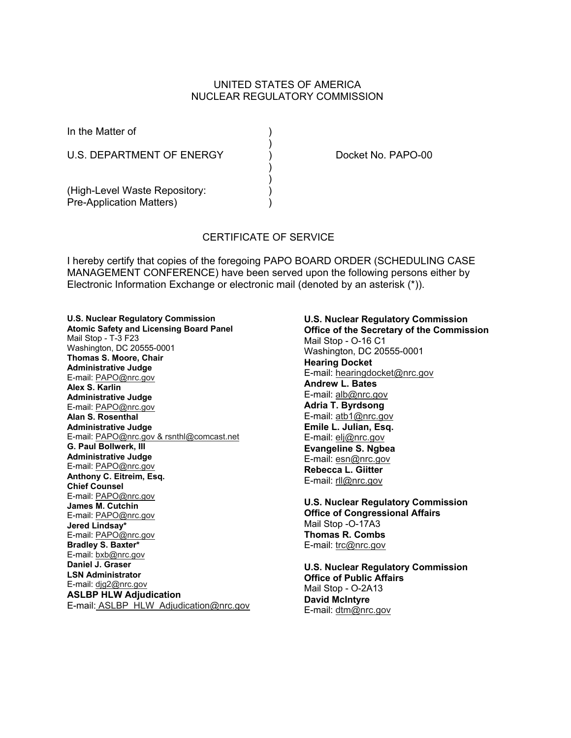## UNITED STATES OF AMERICA NUCLEAR REGULATORY COMMISSION

| In the Matter of                |  |
|---------------------------------|--|
| U.S. DEPARTMENT OF ENERGY       |  |
|                                 |  |
| (High-Level Waste Repository:   |  |
| <b>Pre-Application Matters)</b> |  |

Docket No. PAPO-00

### CERTIFICATE OF SERVICE

I hereby certify that copies of the foregoing PAPO BOARD ORDER (SCHEDULING CASE MANAGEMENT CONFERENCE) have been served upon the following persons either by Electronic Information Exchange or electronic mail (denoted by an asterisk (\*)).

**U.S. Nuclear Regulatory Commission Atomic Safety and Licensing Board Panel** Mail Stop - T-3 F23 Washington, DC 20555-0001 **Thomas S. Moore, Chair Administrative Judge** E-mail: PAPO@nrc.gov **Alex S. Karlin Administrative Judge** E-mail: PAPO@nrc.gov **Alan S. Rosenthal Administrative Judge** E-mail: PAPO@nrc.gov & rsnthl@comcast.net **G. Paul Bollwerk, III Administrative Judge** E-mail: PAPO@nrc.gov **Anthony C. Eitreim, Esq. Chief Counsel** E-mail: PAPO@nrc.gov **James M. Cutchin** E-mail: PAPO@nrc.gov **Jered Lindsay\*** E-mail: PAPO@nrc.gov **Bradley S. Baxter\*** E-mail: bxb@nrc.gov **Daniel J. Graser LSN Administrator** E-mail: djg2@nrc.gov **ASLBP HLW Adjudication** E-mail: ASLBP\_HLW\_Adjudication@nrc.gov **U.S. Nuclear Regulatory Commission Office of the Secretary of the Commission** Mail Stop - O-16 C1 Washington, DC 20555-0001 **Hearing Docket** E-mail: hearingdocket@nrc.gov **Andrew L. Bates** E-mail: alb@nrc.gov **Adria T. Byrdsong** E-mail: atb1@nrc.gov **Emile L. Julian, Esq.** E-mail: elj@nrc.gov **Evangeline S. Ngbea** E-mail: esn@nrc.gov **Rebecca L. Giitter** E-mail: rll@nrc.gov

**U.S. Nuclear Regulatory Commission Office of Congressional Affairs** Mail Stop -O-17A3 **Thomas R. Combs** E-mail: trc@nrc.gov

**U.S. Nuclear Regulatory Commission Office of Public Affairs** Mail Stop - O-2A13 **David McIntyre** E-mail: dtm@nrc.gov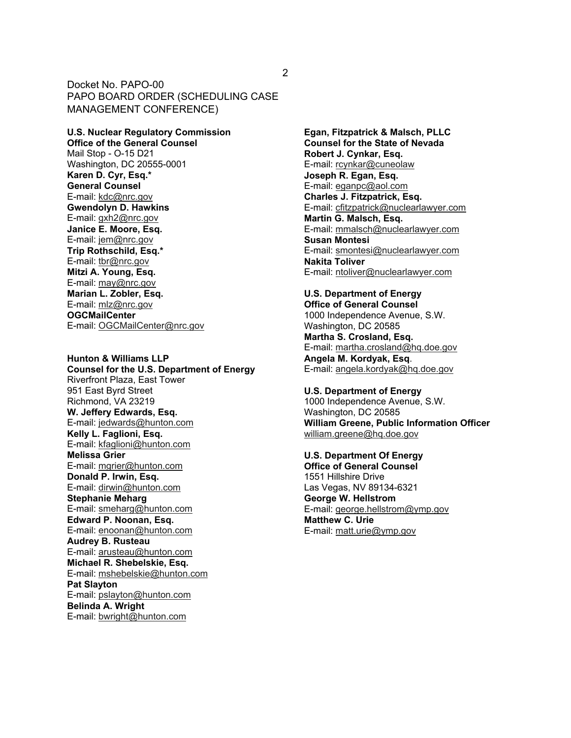**U.S. Nuclear Regulatory Commission Office of the General Counsel** Mail Stop - O-15 D21 Washington, DC 20555-0001 **Karen D. Cyr, Esq.\* General Counsel** E-mail: kdc@nrc.gov **Gwendolyn D. Hawkins** E-mail: gxh2@nrc.gov **Janice E. Moore, Esq.** E-mail: jem@nrc.gov **Trip Rothschild, Esq.\*** E-mail: tbr@nrc.gov **Mitzi A. Young, Esq.** E-mail: may@nrc.gov **Marian L. Zobler, Esq.** E-mail: mlz@nrc.gov **OGCMailCenter** E-mail: OGCMailCenter@nrc.gov

**Hunton & Williams LLP Counsel for the U.S. Department of Energy** Riverfront Plaza, East Tower 951 East Byrd Street Richmond, VA 23219 **W. Jeffery Edwards, Esq.** E-mail: jedwards@hunton.com **Kelly L. Faglioni, Esq.** E-mail: kfaglioni@hunton.com **Melissa Grier** E-mail: mgrier@hunton.com **Donald P. Irwin, Esq.** E-mail: dirwin@hunton.com **Stephanie Meharg** E-mail: smeharg@hunton.com **Edward P. Noonan, Esq.** E-mail: enoonan@hunton.com **Audrey B. Rusteau** E-mail: arusteau@hunton.com **Michael R. Shebelskie, Esq.** E-mail: mshebelskie@hunton.com **Pat Slayton** E-mail: pslayton@hunton.com **Belinda A. Wright** E-mail: bwright@hunton.com

**Egan, Fitzpatrick & Malsch, PLLC Counsel for the State of Nevada Robert J. Cynkar, Esq.** E-mail: rcynkar@cuneolaw **Joseph R. Egan, Esq.** E-mail: eganpc@aol.com **Charles J. Fitzpatrick, Esq.** E-mail: cfitzpatrick@nuclearlawyer.com **Martin G. Malsch, Esq.** E-mail: mmalsch@nuclearlawyer.com **Susan Montesi** E-mail: smontesi@nuclearlawyer.com **Nakita Toliver** E-mail: ntoliver@nuclearlawyer.com

#### **U.S. Department of Energy Office of General Counsel**

1000 Independence Avenue, S.W. Washington, DC 20585

**Martha S. Crosland, Esq.** E-mail: martha.crosland@hq.doe.gov **Angela M. Kordyak, Esq**. E-mail: angela.kordyak@hq.doe.gov

**U.S. Department of Energy** 1000 Independence Avenue, S.W. Washington, DC 20585 **William Greene, Public Information Officer** william.greene@hq.doe.gov

**U.S. Department Of Energy Office of General Counsel** 1551 Hillshire Drive Las Vegas, NV 89134-6321 **George W. Hellstrom** E-mail: george.hellstrom@ymp.gov **Matthew C. Urie** E-mail: matt.urie@ymp.gov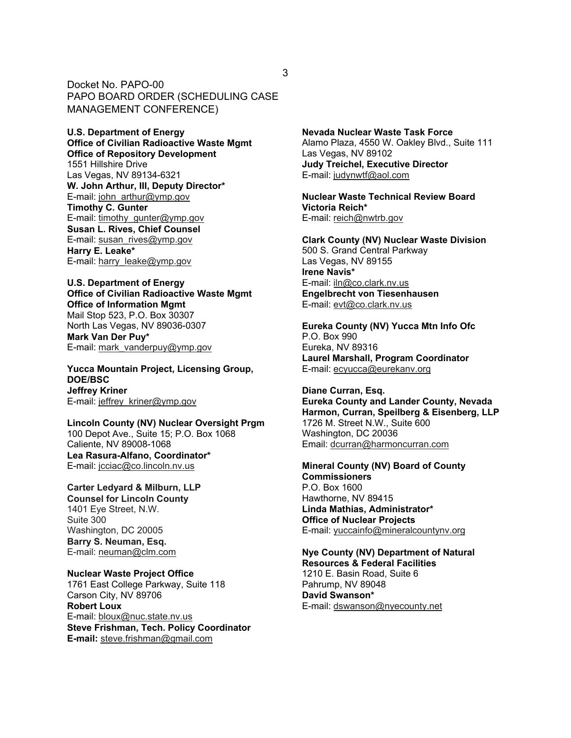**U.S. Department of Energy Office of Civilian Radioactive Waste Mgmt Office of Repository Development** 1551 Hillshire Drive Las Vegas, NV 89134-6321 **W. John Arthur, III, Deputy Director\*** E-mail: john\_arthur@ymp.gov **Timothy C. Gunter** E-mail: timothy\_gunter@ymp.gov **Susan L. Rives, Chief Counsel** E-mail: susan\_rives@ymp.gov **Harry E. Leake\*** E-mail: harry\_leake@ymp.gov

**U.S. Department of Energy Office of Civilian Radioactive Waste Mgmt Office of Information Mgmt** Mail Stop 523, P.O. Box 30307 North Las Vegas, NV 89036-0307 **Mark Van Der Puy\*** E-mail: mark\_vanderpuy@ymp.gov

**Yucca Mountain Project, Licensing Group, DOE/BSC Jeffrey Kriner** E-mail: jeffrey\_kriner@ymp.gov

**Lincoln County (NV) Nuclear Oversight Prgm** 100 Depot Ave., Suite 15; P.O. Box 1068 Caliente, NV 89008-1068 **Lea Rasura-Alfano, Coordinator\*** E-mail: jcciac@co.lincoln.nv.us

**Carter Ledyard & Milburn, LLP Counsel for Lincoln County**  1401 Eye Street, N.W. Suite 300 Washington, DC 20005 **Barry S. Neuman, Esq.** E-mail: neuman@clm.com

**Nuclear Waste Project Office** 1761 East College Parkway, Suite 118 Carson City, NV 89706 **Robert Loux** E-mail: bloux@nuc.state.nv.us **Steve Frishman, Tech. Policy Coordinator E-mail:** steve.frishman@gmail.com

**Nevada Nuclear Waste Task Force** Alamo Plaza, 4550 W. Oakley Blvd., Suite 111 Las Vegas, NV 89102 **Judy Treichel, Executive Director** E-mail: judynwtf@aol.com

**Nuclear Waste Technical Review Board Victoria Reich\*** E-mail: reich@nwtrb.gov

**Clark County (NV) Nuclear Waste Division** 500 S. Grand Central Parkway Las Vegas, NV 89155 **Irene Navis\*** E-mail: iln@co.clark.nv.us **Engelbrecht von Tiesenhausen** E-mail: evt@co.clark.nv.us

**Eureka County (NV) Yucca Mtn Info Ofc** P.O. Box 990 Eureka, NV 89316 **Laurel Marshall, Program Coordinator** E-mail: ecyucca@eurekanv.org

**Diane Curran, Esq. Eureka County and Lander County, Nevada Harmon, Curran, Speilberg & Eisenberg, LLP** 1726 M. Street N.W., Suite 600 Washington, DC 20036 Email: dcurran@harmoncurran.com

**Mineral County (NV) Board of County Commissioners** P.O. Box 1600 Hawthorne, NV 89415 **Linda Mathias, Administrator\* Office of Nuclear Projects** E-mail: yuccainfo@mineralcountynv.org

**Nye County (NV) Department of Natural Resources & Federal Facilities** 1210 E. Basin Road, Suite 6 Pahrump, NV 89048 **David Swanson\*** E-mail: dswanson@nyecounty.net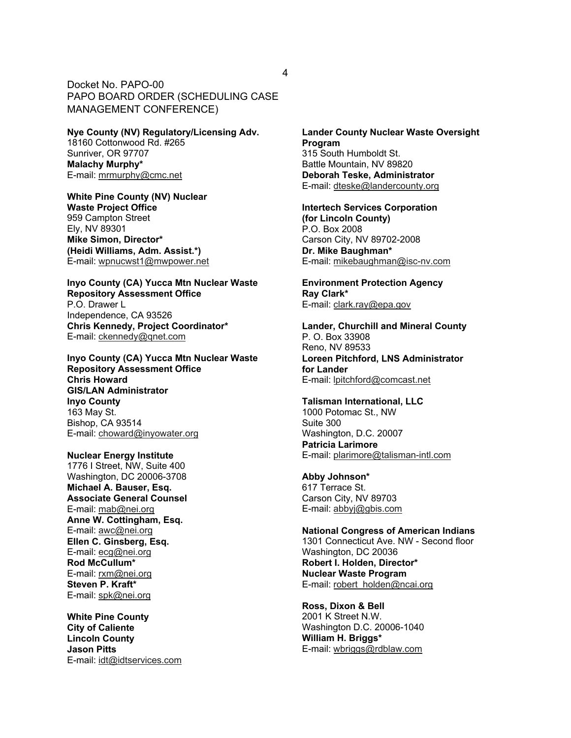#### **Nye County (NV) Regulatory/Licensing Adv.** 18160 Cottonwood Rd. #265

Sunriver, OR 97707 **Malachy Murphy\*** E-mail: mrmurphy@cmc.net

**White Pine County (NV) Nuclear Waste Project Office** 959 Campton Street Ely, NV 89301 **Mike Simon, Director\* (Heidi Williams, Adm. Assist.\*)** E-mail: wpnucwst1@mwpower.net

**Inyo County (CA) Yucca Mtn Nuclear Waste Repository Assessment Office** P.O. Drawer L Independence, CA 93526 **Chris Kennedy, Project Coordinator\*** E-mail: ckennedy@qnet.com

**Inyo County (CA) Yucca Mtn Nuclear Waste Repository Assessment Office Chris Howard GIS/LAN Administrator Inyo County** 163 May St. Bishop, CA 93514 E-mail: choward@inyowater.org

**Nuclear Energy Institute** 1776 I Street, NW, Suite 400 Washington, DC 20006-3708 **Michael A. Bauser, Esq. Associate General Counsel** E-mail: mab@nei.org **Anne W. Cottingham, Esq.** E-mail: awc@nei.org **Ellen C. Ginsberg, Esq.** E-mail: ecg@nei.org **Rod McCullum\*** E-mail: rxm@nei.org **Steven P. Kraft\*** E-mail: spk@nei.org

**White Pine County City of Caliente Lincoln County Jason Pitts** E-mail: idt@idtservices.com **Lander County Nuclear Waste Oversight Program** 315 South Humboldt St. Battle Mountain, NV 89820 **Deborah Teske, Administrator** E-mail: dteske@landercounty.org

**Intertech Services Corporation (for Lincoln County)** P.O. Box 2008 Carson City, NV 89702-2008 **Dr. Mike Baughman\*** E-mail: mikebaughman@isc-nv.com

**Environment Protection Agency Ray Clark\*** E-mail: clark.ray@epa.gov

**Lander, Churchill and Mineral County** P. O. Box 33908 Reno, NV 89533 **Loreen Pitchford, LNS Administrator for Lander** E-mail: lpitchford@comcast.net

**Talisman International, LLC** 1000 Potomac St., NW Suite 300 Washington, D.C. 20007 **Patricia Larimore** E-mail: plarimore@talisman-intl.com

**Abby Johnson\*** 617 Terrace St. Carson City, NV 89703 E-mail: abbyj@gbis.com

**National Congress of American Indians** 1301 Connecticut Ave. NW - Second floor Washington, DC 20036 **Robert I. Holden, Director\* Nuclear Waste Program** E-mail: robert\_holden@ncai.org

**Ross, Dixon & Bell** 2001 K Street N.W. Washington D.C. 20006-1040 **William H. Briggs\*** E-mail: wbriggs@rdblaw.com